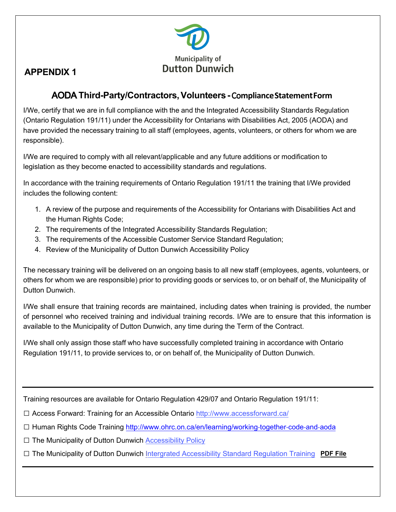

## **APPENDIX 1**

## AODA **Third-Party/Contractors, Volunteers -** Co**mplianceStatementForm**

I/We, certify that we are in full compliance with the and the Integrated Accessibility Standards Regulation (Ontario Regulation 191/11) under the Accessibility for Ontarians with Disabilities Act, 2005 (AODA) and have provided the necessary training to all staff (employees, agents, volunteers, or others for whom we are responsible).

 I/We are required to comply with all relevant/applicable and any future additions or modification to legislation as they become enacted to accessibility standards and regulations.

In accordance with the training requirements of Ontario Regulation 191/11 the training that I/We provided<br>includes the following sectents the renewing content. includes the following content:

- 1. A review of the purpose and requirements of the Accessibility for Ontarians with Disabilities Act and the Human Rights Code;
- 2. The requirements of the Integrated Accessibility Standards Regulation;
- 3. The requirements of the Accessible Customer Service Standard Regulation;
- 4. Review of the Municipality of Dutton Dunwich Accessibility Policy

The necessary training will be delivered on an ongoing basis to all new staff (employees, agents, volunteers, or The necessary training will be delivered on an ongoing basis to all new staff (employees, agents, volunteers, or<br>others for whom we are responsible) prior to providing goods or services to, or on behalf of, the Municipalit Dutton Dunwich.

 I/We shall ensure that training records are maintained, including dates when training is provided, the number of personnel who received training and individual training records. I/We are to ensure that this information is<br>
in the conditional that the condition is the condition in the condition of the condition of the condition of available to the Municipality of Dutton Dunwich, any time during the Term of the Contract.

 Regulation 191/11, to provide services to, or on behalf of, the Municipality of Dutton Dunwich. I/We shall only assign those staff who have successfully completed training in accordance with Ontario

Training resources are available for Ontario Regulation 429/07 and Ontario Regulation 191/11:

□ Access Forward: Training for an Accessible Ontario <http://www.accessforward.ca/>

- [□](http://www.accessforward.ca/%E2%96%A1Human) [Human R](http://www.accessforward.ca/%E2%96%A1Human)ights Code Training <u>http://www.ohrc.on.ca/en/learning/working-together-code-and-aoda</u>
- □ The Municipality of Dutton Dunwich **Accessibility Policy**

□ The Municipality of Dutton Dunwich <u>Intergrated Accessibility Standard Regulation Training</u> PDF File